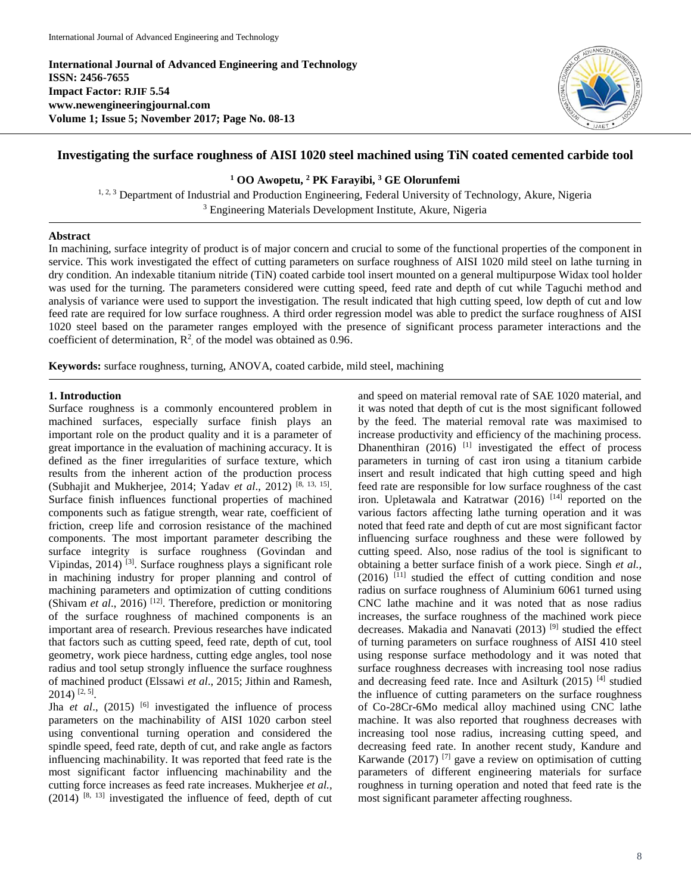**International Journal of Advanced Engineering and Technology ISSN: 2456-7655 Impact Factor: RJIF 5.54 www.newengineeringjournal.com Volume 1; Issue 5; November 2017; Page No. 08-13**



# **Investigating the surface roughness of AISI 1020 steel machined using TiN coated cemented carbide tool**

**<sup>1</sup> OO Awopetu, <sup>2</sup> PK Farayibi, <sup>3</sup> GE Olorunfemi**

<sup>1, 2, 3</sup> Department of Industrial and Production Engineering, Federal University of Technology, Akure, Nigeria <sup>3</sup> Engineering Materials Development Institute, Akure, Nigeria

# **Abstract**

In machining, surface integrity of product is of major concern and crucial to some of the functional properties of the component in service. This work investigated the effect of cutting parameters on surface roughness of AISI 1020 mild steel on lathe turning in dry condition. An indexable titanium nitride (TiN) coated carbide tool insert mounted on a general multipurpose Widax tool holder was used for the turning. The parameters considered were cutting speed, feed rate and depth of cut while Taguchi method and analysis of variance were used to support the investigation. The result indicated that high cutting speed, low depth of cut and low feed rate are required for low surface roughness. A third order regression model was able to predict the surface roughness of AISI 1020 steel based on the parameter ranges employed with the presence of significant process parameter interactions and the coefficient of determination,  $\mathbb{R}^2$ , of the model was obtained as 0.96.

**Keywords:** surface roughness, turning, ANOVA, coated carbide, mild steel, machining

#### **1. Introduction**

Surface roughness is a commonly encountered problem in machined surfaces, especially surface finish plays an important role on the product quality and it is a parameter of great importance in the evaluation of machining accuracy. It is defined as the finer irregularities of surface texture, which results from the inherent action of the production process (Subhajit and Mukherjee, 2014; Yadav *et al*., 2012) [8, 13, 15] . Surface finish influences functional properties of machined components such as fatigue strength, wear rate, coefficient of friction, creep life and corrosion resistance of the machined components. The most important parameter describing the surface integrity is surface roughness (Govindan and Vipindas, 2014)<sup>[3]</sup>. Surface roughness plays a significant role in machining industry for proper planning and control of machining parameters and optimization of cutting conditions (Shivam *et al.*, 2016)<sup>[12]</sup>. Therefore, prediction or monitoring of the surface roughness of machined components is an important area of research. Previous researches have indicated that factors such as cutting speed, feed rate, depth of cut, tool geometry, work piece hardness, cutting edge angles, tool nose radius and tool setup strongly influence the surface roughness of machined product (Elssawi *et al*., 2015; Jithin and Ramesh, 2014) [2, 5] .

Jha *et al.*,  $(2015)$ <sup>[6]</sup> investigated the influence of process parameters on the machinability of AISI 1020 carbon steel using conventional turning operation and considered the spindle speed, feed rate, depth of cut, and rake angle as factors influencing machinability. It was reported that feed rate is the most significant factor influencing machinability and the cutting force increases as feed rate increases. Mukherjee *et al.,*  $(2014)$  <sup>[8, 13]</sup> investigated the influence of feed, depth of cut

and speed on material removal rate of SAE 1020 material, and it was noted that depth of cut is the most significant followed by the feed. The material removal rate was maximised to increase productivity and efficiency of the machining process. Dhanenthiran  $(2016)$ <sup>[1]</sup> investigated the effect of process parameters in turning of cast iron using a titanium carbide insert and result indicated that high cutting speed and high feed rate are responsible for low surface roughness of the cast iron. Upletawala and Katratwar (2016) <sup>[14]</sup> reported on the various factors affecting lathe turning operation and it was noted that feed rate and depth of cut are most significant factor influencing surface roughness and these were followed by cutting speed. Also, nose radius of the tool is significant to obtaining a better surface finish of a work piece. Singh *et al.,* (2016) [11] studied the effect of cutting condition and nose radius on surface roughness of Aluminium 6061 turned using CNC lathe machine and it was noted that as nose radius increases, the surface roughness of the machined work piece decreases. Makadia and Nanavati (2013)<sup>[9]</sup> studied the effect of turning parameters on surface roughness of AISI 410 steel using response surface methodology and it was noted that surface roughness decreases with increasing tool nose radius and decreasing feed rate. Ince and Asilturk (2015)<sup>[4]</sup> studied the influence of cutting parameters on the surface roughness of Co-28Cr-6Mo medical alloy machined using CNC lathe machine. It was also reported that roughness decreases with increasing tool nose radius, increasing cutting speed, and decreasing feed rate. In another recent study, Kandure and Karwande (2017)<sup>[7]</sup> gave a review on optimisation of cutting parameters of different engineering materials for surface roughness in turning operation and noted that feed rate is the most significant parameter affecting roughness.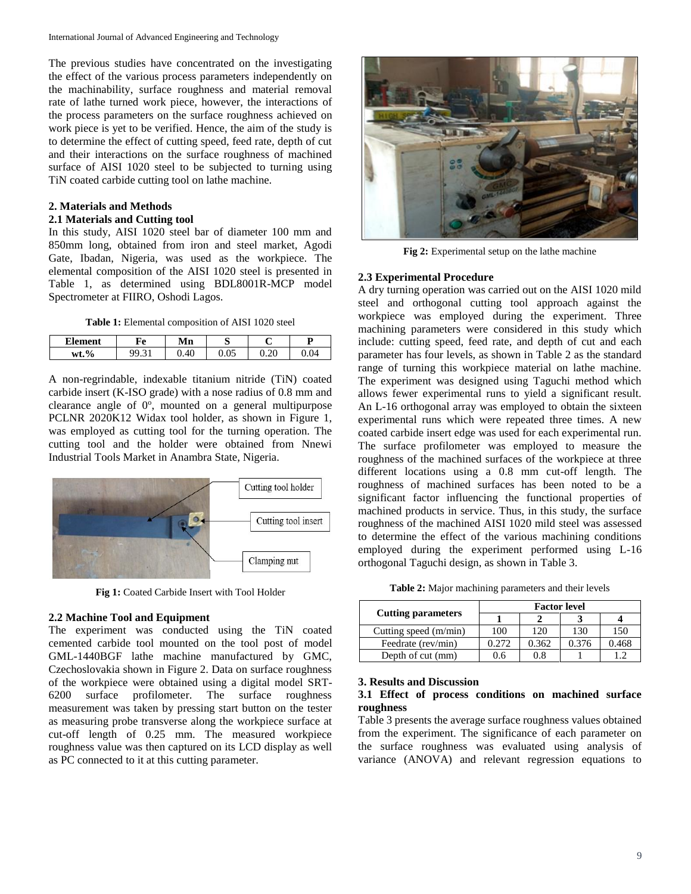The previous studies have concentrated on the investigating the effect of the various process parameters independently on the machinability, surface roughness and material removal rate of lathe turned work piece, however, the interactions of the process parameters on the surface roughness achieved on work piece is yet to be verified. Hence, the aim of the study is to determine the effect of cutting speed, feed rate, depth of cut and their interactions on the surface roughness of machined surface of AISI 1020 steel to be subjected to turning using TiN coated carbide cutting tool on lathe machine.

# **2. Materials and Methods**

### **2.1 Materials and Cutting tool**

In this study, AISI 1020 steel bar of diameter 100 mm and 850mm long, obtained from iron and steel market, Agodi Gate, Ibadan, Nigeria, was used as the workpiece. The elemental composition of the AISI 1020 steel is presented in Table 1, as determined using BDL8001R-MCP model Spectrometer at FIIRO, Oshodi Lagos.

**Table 1:** Elemental composition of AISI 1020 steel

| <b>Element</b>     | НΑ        | Mn  | ຼ                |      |                  |
|--------------------|-----------|-----|------------------|------|------------------|
| $\mathbf{0}$<br>wt | ۵Q<br>. ت | .40 | $\Omega$<br>U.UJ | ∪.∠∪ | $\Omega$<br>J.U4 |

A non-regrindable, indexable titanium nitride (TiN) coated carbide insert (K-ISO grade) with a nose radius of 0.8 mm and clearance angle of  $0^\circ$ , mounted on a general multipurpose PCLNR 2020K12 Widax tool holder, as shown in Figure 1, was employed as cutting tool for the turning operation. The cutting tool and the holder were obtained from Nnewi Industrial Tools Market in Anambra State, Nigeria.



**Fig 1:** Coated Carbide Insert with Tool Holder

# **2.2 Machine Tool and Equipment**

The experiment was conducted using the TiN coated cemented carbide tool mounted on the tool post of model GML-1440BGF lathe machine manufactured by GMC, Czechoslovakia shown in Figure 2. Data on surface roughness of the workpiece were obtained using a digital model SRT-6200 surface profilometer. The surface roughness measurement was taken by pressing start button on the tester as measuring probe transverse along the workpiece surface at cut-off length of 0.25 mm. The measured workpiece roughness value was then captured on its LCD display as well as PC connected to it at this cutting parameter.



**Fig 2:** Experimental setup on the lathe machine

#### **2.3 Experimental Procedure**

A dry turning operation was carried out on the AISI 1020 mild steel and orthogonal cutting tool approach against the workpiece was employed during the experiment. Three machining parameters were considered in this study which include: cutting speed, feed rate, and depth of cut and each parameter has four levels, as shown in Table 2 as the standard range of turning this workpiece material on lathe machine. The experiment was designed using Taguchi method which allows fewer experimental runs to yield a significant result. An L-16 orthogonal array was employed to obtain the sixteen experimental runs which were repeated three times. A new coated carbide insert edge was used for each experimental run. The surface profilometer was employed to measure the roughness of the machined surfaces of the workpiece at three different locations using a 0.8 mm cut-off length. The roughness of machined surfaces has been noted to be a significant factor influencing the functional properties of machined products in service. Thus, in this study, the surface roughness of the machined AISI 1020 mild steel was assessed to determine the effect of the various machining conditions employed during the experiment performed using L-16 orthogonal Taguchi design, as shown in Table 3.

**Table 2:** Major machining parameters and their levels

|                           | <b>Factor level</b> |       |       |       |  |  |
|---------------------------|---------------------|-------|-------|-------|--|--|
| <b>Cutting parameters</b> |                     |       |       |       |  |  |
| Cutting speed $(m/min)$   | 100                 | 120   | 130   | 150   |  |  |
| Feedrate (rev/min)        | 0.272               | 0.362 | 0.376 | 0.468 |  |  |
| Depth of cut (mm)         | ).6                 | 0.8   |       |       |  |  |

#### **3. Results and Discussion**

# **3.1 Effect of process conditions on machined surface roughness**

Table 3 presents the average surface roughness values obtained from the experiment. The significance of each parameter on the surface roughness was evaluated using analysis of variance (ANOVA) and relevant regression equations to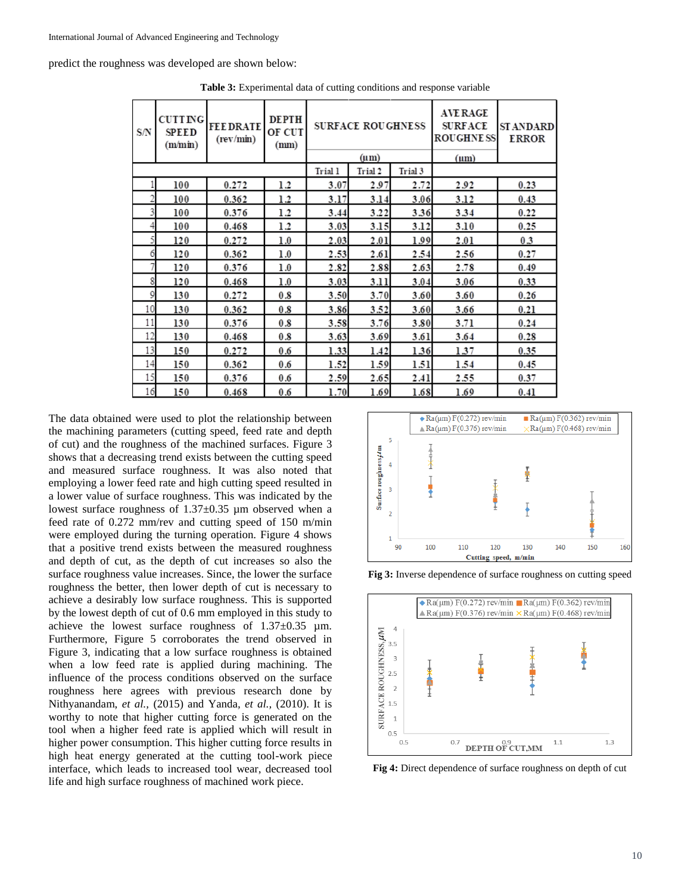predict the roughness was developed are shown below:

| S/N | <b>CUTTING</b><br><b>SPEED</b><br>(m/min) | <b>FEEDRATE</b><br>(rev/min) | <b>DEPTH</b><br>OF CUT<br>(mm) |           | <b>SURFACE ROUGHNESS</b> |         | <b>AVE RAGE</b><br><b>SURFACE</b><br><b>ROUGHNESS</b> | ST ANDARD<br><b>ERROR</b> |
|-----|-------------------------------------------|------------------------------|--------------------------------|-----------|--------------------------|---------|-------------------------------------------------------|---------------------------|
|     |                                           |                              |                                | $(\mu m)$ |                          |         | $(\mu m)$                                             |                           |
|     |                                           |                              |                                | Trial 1   | Trial 2                  | Trial 3 |                                                       |                           |
|     | 100                                       | 0.272                        | 1.2                            | 3.07      | 2.97                     | 2.72    | 2.92                                                  | 0.23                      |
| 2   | 100                                       | 0.362                        | 1.2                            | 3.17      | 3.14                     | 3.06    | 3.12                                                  | 0.43                      |
| 3   | 100                                       | 0.376                        | 1.2                            | 3.44      | 3.22                     | 3.36    | 3.34                                                  | 0.22                      |
| 4   | 100                                       | 0.468                        | 1.2                            | 3.03      | 3.15                     | 3.12    | 3.10                                                  | 0.25                      |
|     | 120                                       | 0.272                        | $1.0\,$                        | 2.03      | 2.01                     | 1.99    | 2.01                                                  | 0.3                       |
| 6   | 120                                       | 0.362                        | 1.0                            | 2.53      | 2.61                     | 2.54    | 2.56                                                  | 0.27                      |
|     | 120                                       | 0.376                        | 1.0                            | 2.82      | 2.88                     | 2.63    | 2.78                                                  | 0.49                      |
| 8   | 120                                       | 0.468                        | 1.0                            | 3.03      | 3.11                     | 3.04    | 3.06                                                  | 0.33                      |
| 9   | 130                                       | 0.272                        | 0.8                            | 3.50      | 3.70                     | 3.60    | 3.60                                                  | 0.26                      |
| 10  | 130                                       | 0.362                        | 0.8                            | 3.86      | 3.52                     | 3.60    | 3.66                                                  | 0.21                      |
| 11  | 130                                       | 0.376                        | 0.8                            | 3.58      | 3.76                     | 3.80    | 3.71                                                  | 0.24                      |
| 12  | 130                                       | 0.468                        | 0.8                            | 3.63      | 3.69                     | 3.61    | 3.64                                                  | 0.28                      |
| 13  | 150                                       | 0.272                        | 0.6                            | 1.33      | 1.42                     | 1.36    | 1.37                                                  | 0.35                      |
| 14  | 150                                       | 0.362                        | 0.6                            | 1.52      | 1.59                     | 1.51    | 1.54                                                  | 0.45                      |
| 15  | 150                                       | 0.376                        | 0.6                            | 2.59      | 2.65                     | 2.41    | 2.55                                                  | 0.37                      |
| 16  | 150                                       | 0.468                        | 0.6                            | 1.70      | 1.69                     | 1.68    | 1.69                                                  | 0.41                      |

**Table 3:** Experimental data of cutting conditions and response variable

The data obtained were used to plot the relationship between the machining parameters (cutting speed, feed rate and depth of cut) and the roughness of the machined surfaces. Figure 3 shows that a decreasing trend exists between the cutting speed and measured surface roughness. It was also noted that employing a lower feed rate and high cutting speed resulted in a lower value of surface roughness. This was indicated by the lowest surface roughness of  $1.37\pm0.35$  µm observed when a feed rate of 0.272 mm/rev and cutting speed of 150 m/min were employed during the turning operation. Figure 4 shows that a positive trend exists between the measured roughness and depth of cut, as the depth of cut increases so also the surface roughness value increases. Since, the lower the surface roughness the better, then lower depth of cut is necessary to achieve a desirably low surface roughness. This is supported by the lowest depth of cut of 0.6 mm employed in this study to achieve the lowest surface roughness of 1.37±0.35 µm. Furthermore, Figure 5 corroborates the trend observed in Figure 3, indicating that a low surface roughness is obtained when a low feed rate is applied during machining. The influence of the process conditions observed on the surface roughness here agrees with previous research done by Nithyanandam, *et al.,* (2015) and Yanda*, et al.,* (2010). It is worthy to note that higher cutting force is generated on the tool when a higher feed rate is applied which will result in higher power consumption. This higher cutting force results in high heat energy generated at the cutting tool-work piece interface, which leads to increased tool wear, decreased tool life and high surface roughness of machined work piece.



**Fig 3:** Inverse dependence of surface roughness on cutting speed



**Fig 4:** Direct dependence of surface roughness on depth of cut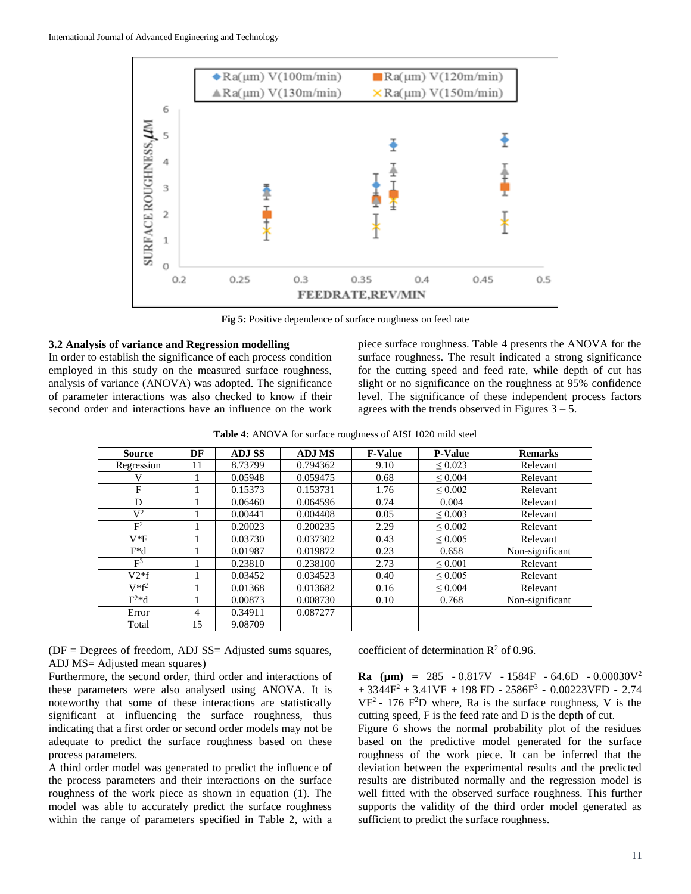

Fig 5: Positive dependence of surface roughness on feed rate

#### **3.2 Analysis of variance and Regression modelling**

In order to establish the significance of each process condition employed in this study on the measured surface roughness, analysis of variance (ANOVA) was adopted. The significance of parameter interactions was also checked to know if their second order and interactions have an influence on the work

piece surface roughness. Table 4 presents the ANOVA for the surface roughness. The result indicated a strong significance for the cutting speed and feed rate, while depth of cut has slight or no significance on the roughness at 95% confidence level. The significance of these independent process factors agrees with the trends observed in Figures  $3 - 5$ .

**Table 4:** ANOVA for surface roughness of AISI 1020 mild steel

| <b>Source</b>  | DF             | <b>ADJ SS</b> | <b>ADJ MS</b> | <b>F-Value</b> | <b>P-Value</b> | <b>Remarks</b>  |
|----------------|----------------|---------------|---------------|----------------|----------------|-----------------|
| Regression     | 11             | 8.73799       | 0.794362      | 9.10           | $\leq 0.023$   | Relevant        |
| V              |                | 0.05948       | 0.059475      | 0.68           | $\leq 0.004$   | Relevant        |
| F              |                | 0.15373       | 0.153731      | 1.76           | ${}_{0.002}$   | Relevant        |
| D              |                | 0.06460       | 0.064596      | 0.74           | 0.004          | Relevant        |
| $\mathbf{V}^2$ |                | 0.00441       | 0.004408      | 0.05           | $\leq 0.003$   | Relevant        |
| F <sup>2</sup> |                | 0.20023       | 0.200235      | 2.29           | $\leq 0.002$   | Relevant        |
| $V*F$          |                | 0.03730       | 0.037302      | 0.43           | $\leq 0.005$   | Relevant        |
| $F^*d$         |                | 0.01987       | 0.019872      | 0.23           | 0.658          | Non-significant |
| F <sup>3</sup> |                | 0.23810       | 0.238100      | 2.73           | $\leq 0.001$   | Relevant        |
| $V2*f$         |                | 0.03452       | 0.034523      | 0.40           | $\leq 0.005$   | Relevant        |
| $V^*f^2$       |                | 0.01368       | 0.013682      | 0.16           | $\leq 0.004$   | Relevant        |
| $F^{2*}d$      |                | 0.00873       | 0.008730      | 0.10           | 0.768          | Non-significant |
| Error          | $\overline{4}$ | 0.34911       | 0.087277      |                |                |                 |
| Total          | 15             | 9.08709       |               |                |                |                 |

(DF = Degrees of freedom, ADJ SS= Adjusted sums squares, ADJ MS= Adjusted mean squares)

Furthermore, the second order, third order and interactions of these parameters were also analysed using ANOVA. It is noteworthy that some of these interactions are statistically significant at influencing the surface roughness, thus indicating that a first order or second order models may not be adequate to predict the surface roughness based on these process parameters.

A third order model was generated to predict the influence of the process parameters and their interactions on the surface roughness of the work piece as shown in equation (1). The model was able to accurately predict the surface roughness within the range of parameters specified in Table 2, with a

coefficient of determination  $\mathbb{R}^2$  of 0.96.

**Ra (µm) =** 285 - 0.817V - 1584F - 64.6D - 0.00030V<sup>2</sup>  $+3344F^2 + 3.41VF + 198 FD - 2586F^3 - 0.00223VFD - 2.74$  $VF<sup>2</sup> - 176 F<sup>2</sup>D$  where, Ra is the surface roughness, V is the cutting speed, F is the feed rate and D is the depth of cut.

Figure 6 shows the normal probability plot of the residues based on the predictive model generated for the surface roughness of the work piece. It can be inferred that the deviation between the experimental results and the predicted results are distributed normally and the regression model is well fitted with the observed surface roughness. This further supports the validity of the third order model generated as sufficient to predict the surface roughness.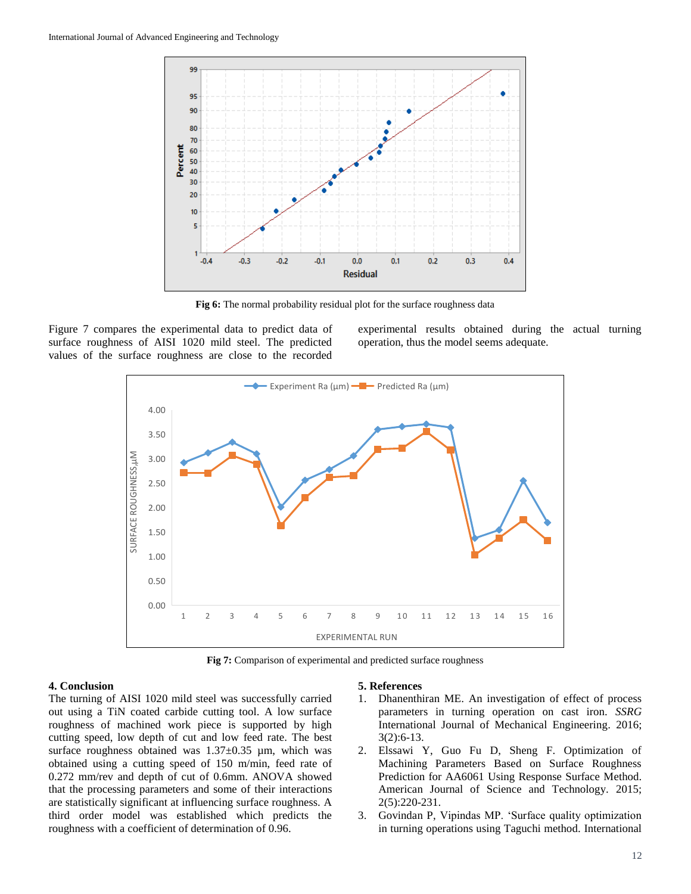

**Fig 6:** The normal probability residual plot for the surface roughness data

Figure 7 compares the experimental data to predict data of surface roughness of AISI 1020 mild steel. The predicted values of the surface roughness are close to the recorded experimental results obtained during the actual turning operation, thus the model seems adequate.



**Fig 7:** Comparison of experimental and predicted surface roughness

#### **4. Conclusion**

The turning of AISI 1020 mild steel was successfully carried out using a TiN coated carbide cutting tool. A low surface roughness of machined work piece is supported by high cutting speed, low depth of cut and low feed rate. The best surface roughness obtained was  $1.37\pm0.35$  µm, which was obtained using a cutting speed of 150 m/min, feed rate of 0.272 mm/rev and depth of cut of 0.6mm. ANOVA showed that the processing parameters and some of their interactions are statistically significant at influencing surface roughness. A third order model was established which predicts the roughness with a coefficient of determination of 0.96.

#### **5. References**

- 1. Dhanenthiran ME. An investigation of effect of process parameters in turning operation on cast iron. *SSRG*  International Journal of Mechanical Engineering. 2016; 3(2):6-13.
- 2. Elssawi Y, Guo Fu D, Sheng F. Optimization of Machining Parameters Based on Surface Roughness Prediction for AA6061 Using Response Surface Method. American Journal of Science and Technology. 2015; 2(5):220-231.
- 3. Govindan P, Vipindas MP. 'Surface quality optimization in turning operations using Taguchi method. International